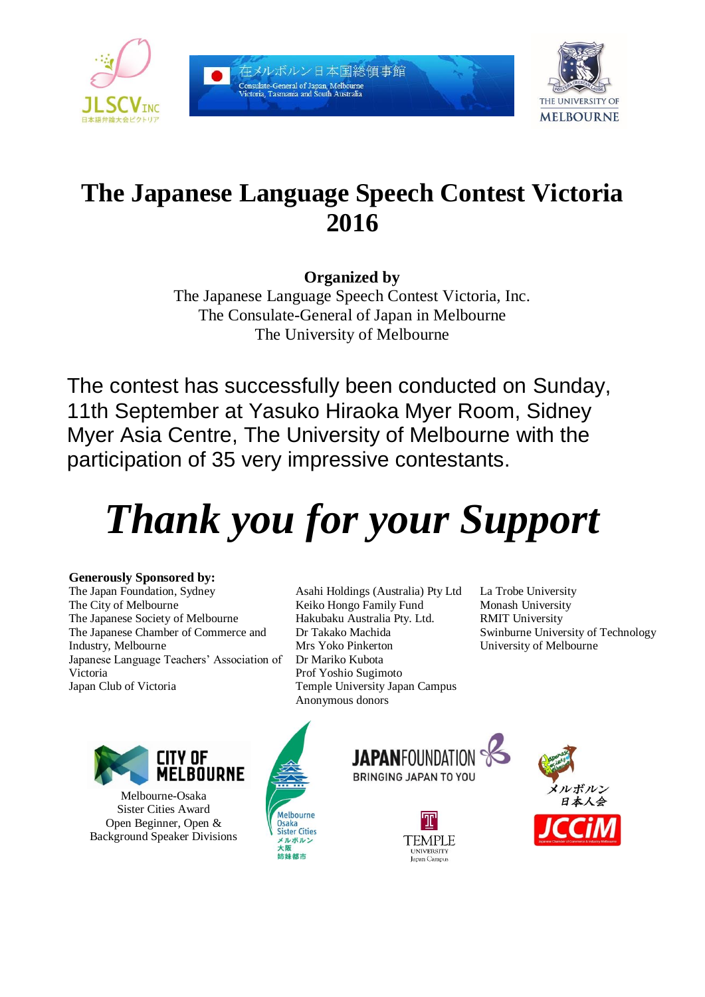

在メルボルン日本国総領事館 .<br>Consulate-General of Japan, Melbourne<br>Victoria, Tasmania and South Australia



# **The Japanese Language Speech Contest Victoria 2016**

**Organized by**

The Japanese Language Speech Contest Victoria, Inc. The Consulate-General of Japan in Melbourne The University of Melbourne

The contest has successfully been conducted on Sunday, 11th September at Yasuko Hiraoka Myer Room, Sidney Myer Asia Centre, The University of Melbourne with the participation of 35 very impressive contestants.

# *Thank you for your Support*

## **Generously Sponsored by:**

The Japan Foundation, Sydney The City of Melbourne The Japanese Society of Melbourne The Japanese Chamber of Commerce and Industry, Melbourne Japanese Language Teachers' Association of Victoria Japan Club of Victoria

Asahi Holdings (Australia) Pty Ltd Keiko Hongo Family Fund Hakubaku Australia Pty. Ltd. Dr Takako Machida Mrs Yoko Pinkerton Dr Mariko Kubota Prof Yoshio Sugimoto Temple University Japan Campus Anonymous donors

La Trobe University Monash University RMIT University Swinburne University of Technology University of Melbourne



Melbourne-Osaka Sister Cities Award Open Beginner, Open & Background Speaker Divisions